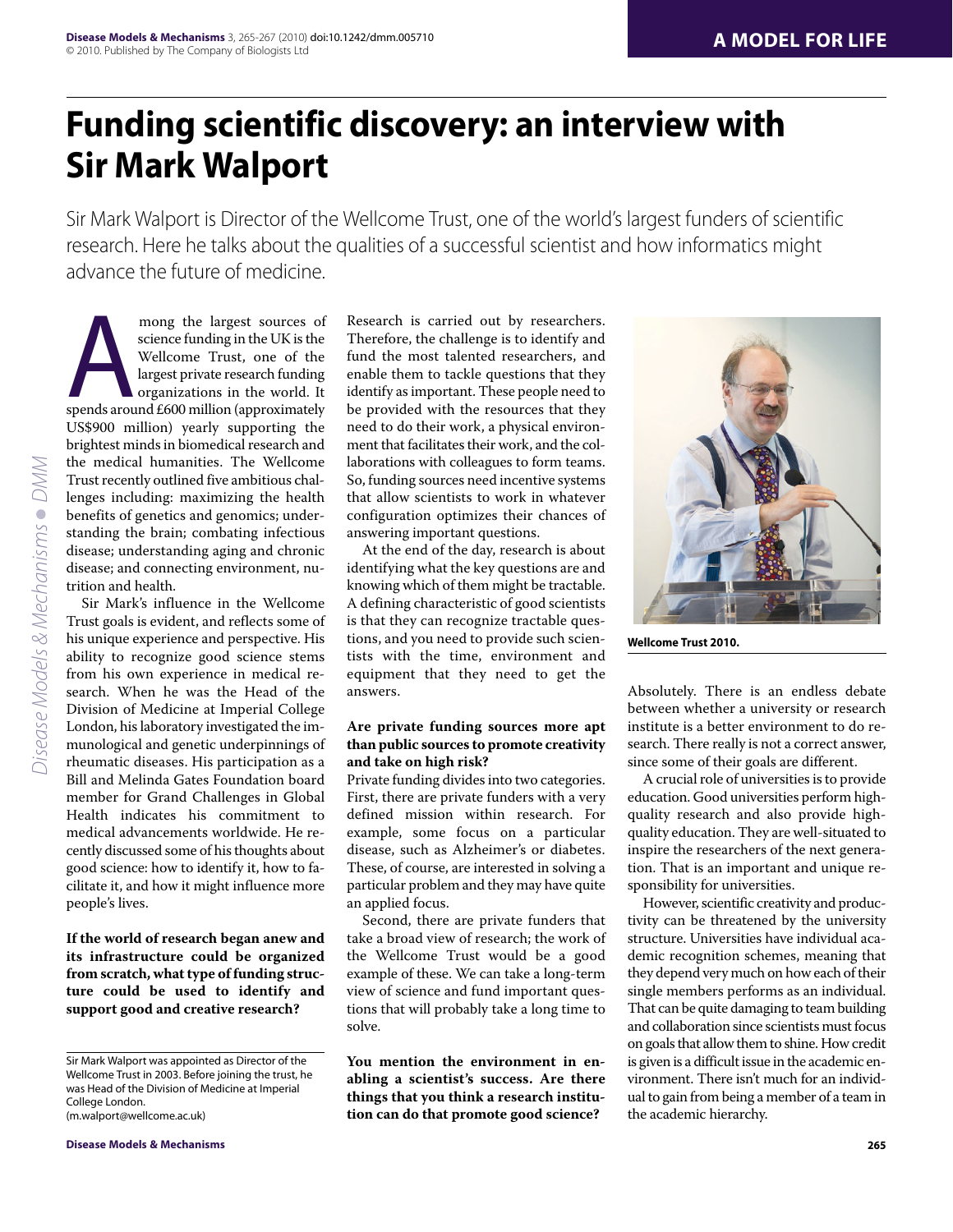# **Funding scientific discovery: an interview with Sir Mark Walport**

Sir Mark Walport is Director of the Wellcome Trust, one of the world's largest funders of scientific research. Here he talks about the qualities of a successful scientist and how informatics might advance the future of medicine.

mong the largest sources of<br>science funding in the UK is the<br>Wellcome Trust, one of the<br>largest private research funding<br>organizations in the world. It<br>spends around £600 million (approximately science funding in the UK is the Wellcome Trust, one of the largest private research funding organizations in the world. It US\$900 million) yearly supporting the brightest minds in biomedical research and the medical humanities. The Wellcome Trust recently outlined five ambitious challenges including: maximizing the health benefits of genetics and genomics; understanding the brain; combating infectious disease; understanding aging and chronic disease; and connecting environment, nutrition and health.

Sir Mark's influence in the Wellcome Trust goals is evident, and reflects some of his unique experience and perspective. His ability to recognize good science stems from his own experience in medical research. When he was the Head of the Division of Medicine at Imperial College London, his laboratory investigated the immunological and genetic underpinnings of rheumatic diseases. His participation as a Bill and Melinda Gates Foundation board member for Grand Challenges in Global Health indicates his commitment to medical advancements worldwide. He recently discussed some of his thoughts about good science: how to identify it, how to facilitate it, and how it might influence more people's lives.

**If the world of research began anew and its infrastructure could be organized from scratch, what type of funding structure could be used to identify and support good and creative research?**

Research is carried out by researchers. Therefore, the challenge is to identify and fund the most talented researchers, and enable them to tackle questions that they identify as important. These people need to be provided with the resources that they need to do their work, a physical environment that facilitates their work, and the collaborations with colleagues to form teams. So, funding sources need incentive systems that allow scientists to work in whatever configuration optimizes their chances of answering important questions.

At the end of the day, research is about identifying what the key questions are and knowing which of them might be tractable. A defining characteristic of good scientists is that they can recognize tractable questions, and you need to provide such scientists with the time, environment and equipment that they need to get the answers.

#### **Are private funding sources more apt than public sources to promote creativity and take on high risk?**

Private funding divides into two categories. First, there are private funders with a very defined mission within research. For example, some focus on a particular disease, such as Alzheimer's or diabetes. These, of course, are interested in solving a particular problem and they may have quite an applied focus.

Second, there are private funders that take a broad view of research; the work of the Wellcome Trust would be a good example of these. We can take a long-term view of science and fund important questions that will probably take a long time to solve.

**You mention the environment in enabling a scientist's success. Are there things that you think a research institution can do that promote good science?**



**Wellcome Trust 2010.**

Absolutely. There is an endless debate between whether a university or research institute is a better environment to do research. There really is not a correct answer, since some of their goals are different.

A crucial role of universities is to provide education. Good universities perform highquality research and also provide highquality education. They are well-situated to inspire the researchers of the next generation. That is an important and unique responsibility for universities.

However, scientific creativity and productivity can be threatened by the university structure. Universities have individual academic recognition schemes, meaning that they depend very much on how each of their single members performs as an individual. That can be quite damaging to team building and collaboration since scientists must focus on goals that allow them to shine. How credit is given is a difficult issue in the academic environment. There isn't much for an individual to gain from being a member of a team in the academic hierarchy.

Sir Mark Walport was appointed as Director of the Wellcome Trust in 2003. Before joining the trust, he was Head of the Division of Medicine at Imperial College London. (m.walport@wellcome.ac.uk)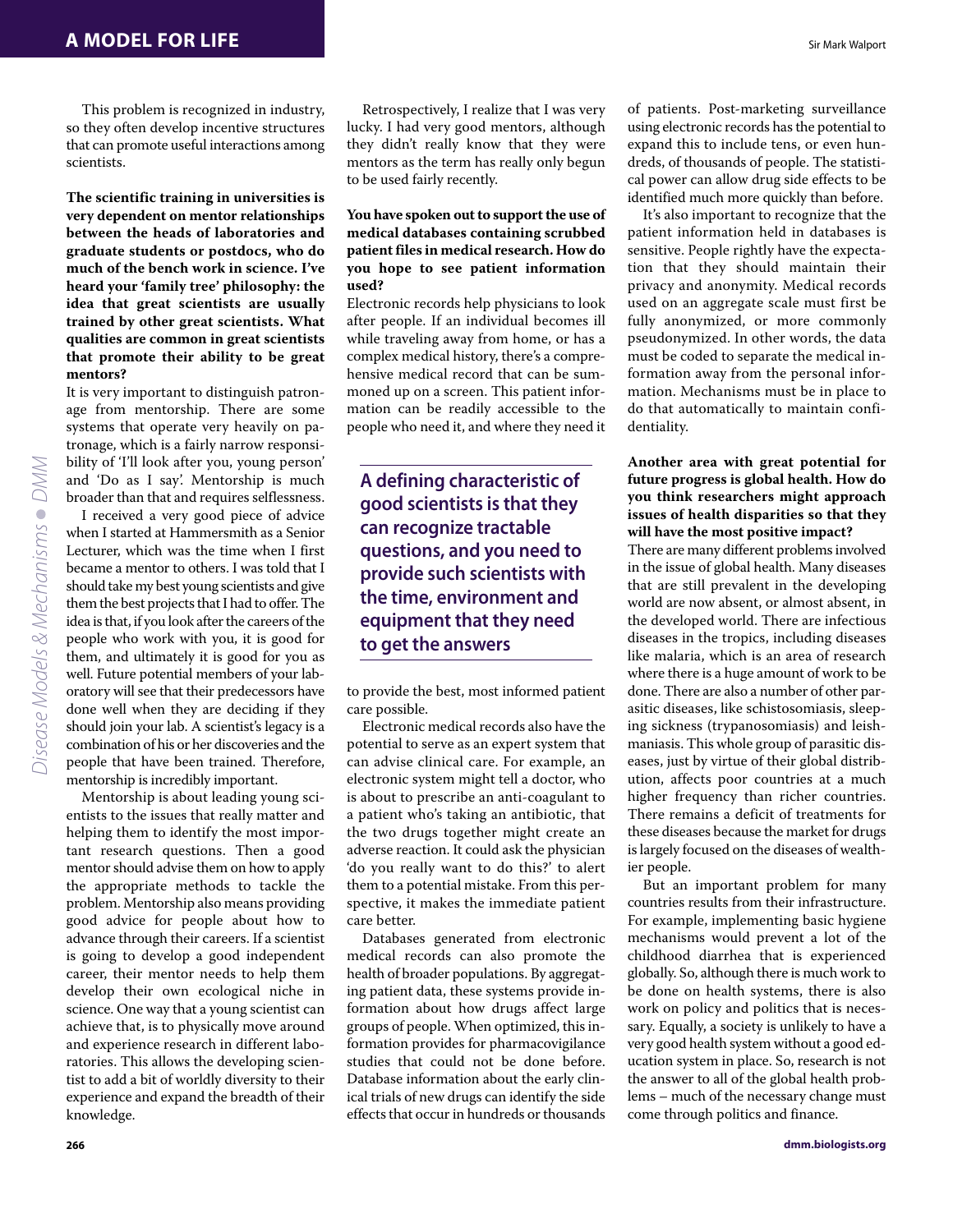This problem is recognized in industry, so they often develop incentive structures that can promote useful interactions among scientists.

**The scientific training in universities is very dependent on mentor relationships between the heads of laboratories and graduate students or postdocs, who do much of the bench work in science. I've heard your 'family tree' philosophy: the idea that great scientists are usually trained by other great scientists. What qualities are common in great scientists that promote their ability to be great mentors?**

It is very important to distinguish patronage from mentorship. There are some systems that operate very heavily on patronage, which is a fairly narrow responsibility of 'I'll look after you, young person' and 'Do as I say'. Mentorship is much broader than that and requires selflessness.

I received a very good piece of advice when I started at Hammersmith as a Senior Lecturer, which was the time when I first became a mentor to others. I was told that I should take my best young scientists and give them the best projects that I had to offer. The idea is that, if you look after the careers of the people who work with you, it is good for them, and ultimately it is good for you as well. Future potential members of your laboratory will see that their predecessors have done well when they are deciding if they should join your lab. A scientist's legacy is a combination of his or her discoveries and the people that have been trained. Therefore, mentorship is incredibly important.

Mentorship is about leading young scientists to the issues that really matter and helping them to identify the most important research questions. Then a good mentor should advise them on how to apply the appropriate methods to tackle the problem. Mentorship also means providing good advice for people about how to advance through their careers. If a scientist is going to develop a good independent career, their mentor needs to help them develop their own ecological niche in science. One way that a young scientist can achieve that, is to physically move around and experience research in different laboratories. This allows the developing scientist to add a bit of worldly diversity to their experience and expand the breadth of their knowledge.

Retrospectively, I realize that I was very lucky. I had very good mentors, although they didn't really know that they were mentors as the term has really only begun to be used fairly recently.

#### **You have spoken out to support the use of medical databases containing scrubbed patient files in medical research. How do you hope to see patient information used?**

Electronic records help physicians to look after people. If an individual becomes ill while traveling away from home, or has a complex medical history, there's a comprehensive medical record that can be summoned up on a screen. This patient information can be readily accessible to the people who need it, and where they need it

**A defining characteristic of good scientists is that they can recognize tractable questions, and you need to provide such scientists with the time, environment and equipment that they need to get the answers**

to provide the best, most informed patient care possible.

Electronic medical records also have the potential to serve as an expert system that can advise clinical care. For example, an electronic system might tell a doctor, who is about to prescribe an anti-coagulant to a patient who's taking an antibiotic, that the two drugs together might create an adverse reaction. It could ask the physician 'do you really want to do this?' to alert them to a potential mistake. From this perspective, it makes the immediate patient care better.

Databases generated from electronic medical records can also promote the health of broader populations. By aggregating patient data, these systems provide information about how drugs affect large groups of people. When optimized, this information provides for pharmacovigilance studies that could not be done before. Database information about the early clinical trials of new drugs can identify the side effects that occur in hundreds or thousands

of patients. Post-marketing surveillance using electronic records has the potential to expand this to include tens, or even hundreds, of thousands of people. The statistical power can allow drug side effects to be identified much more quickly than before.

It's also important to recognize that the patient information held in databases is sensitive. People rightly have the expectation that they should maintain their privacy and anonymity. Medical records used on an aggregate scale must first be fully anonymized, or more commonly pseudonymized. In other words, the data must be coded to separate the medical information away from the personal information. Mechanisms must be in place to do that automatically to maintain confidentiality.

### **Another area with great potential for future progress is global health. How do you think researchers might approach issues of health disparities so that they will have the most positive impact?**

There are many different problems involved in the issue of global health. Many diseases that are still prevalent in the developing world are now absent, or almost absent, in the developed world. There are infectious diseases in the tropics, including diseases like malaria, which is an area of research where there is a huge amount of work to be done. There are also a number of other parasitic diseases, like schistosomiasis, sleeping sickness (trypanosomiasis) and leishmaniasis. This whole group of parasitic diseases, just by virtue of their global distribution, affects poor countries at a much higher frequency than richer countries. There remains a deficit of treatments for these diseases because the market for drugs is largely focused on the diseases of wealthier people.

But an important problem for many countries results from their infrastructure. For example, implementing basic hygiene mechanisms would prevent a lot of the childhood diarrhea that is experienced globally. So, although there is much work to be done on health systems, there is also work on policy and politics that is necessary. Equally, a society is unlikely to have a very good health system without a good education system in place. So, research is not the answer to all of the global health problems – much of the necessary change must come through politics and finance.